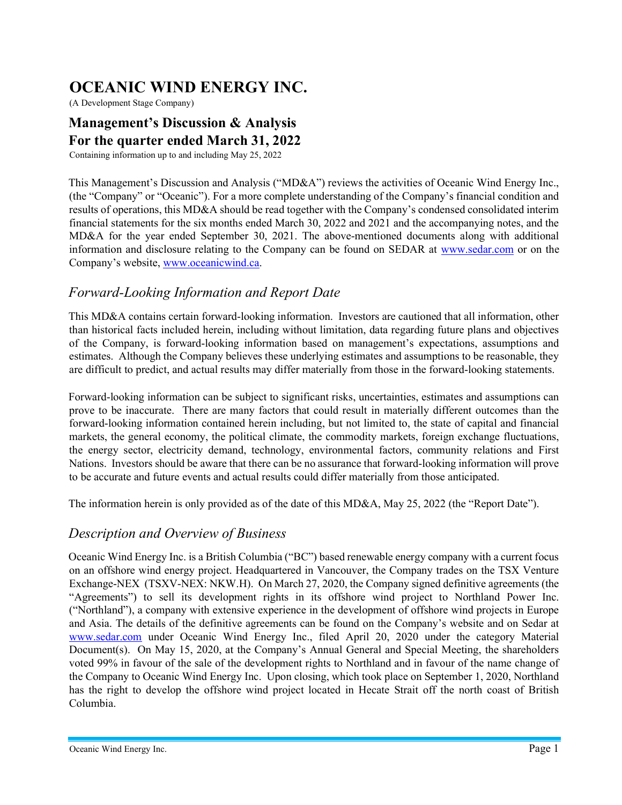# OCEANIC WIND ENERGY INC.

(A Development Stage Company)

### Management's Discussion & Analysis For the quarter ended March 31, 2022

Containing information up to and including May 25, 2022

This Management's Discussion and Analysis ("MD&A") reviews the activities of Oceanic Wind Energy Inc., (the "Company" or "Oceanic"). For a more complete understanding of the Company's financial condition and results of operations, this MD&A should be read together with the Company's condensed consolidated interim financial statements for the six months ended March 30, 2022 and 2021 and the accompanying notes, and the MD&A for the year ended September 30, 2021. The above-mentioned documents along with additional information and disclosure relating to the Company can be found on SEDAR at www.sedar.com or on the Company's website, www.oceanicwind.ca.

# Forward-Looking Information and Report Date

This MD&A contains certain forward-looking information. Investors are cautioned that all information, other than historical facts included herein, including without limitation, data regarding future plans and objectives of the Company, is forward-looking information based on management's expectations, assumptions and estimates. Although the Company believes these underlying estimates and assumptions to be reasonable, they are difficult to predict, and actual results may differ materially from those in the forward-looking statements.

Forward-looking information can be subject to significant risks, uncertainties, estimates and assumptions can prove to be inaccurate. There are many factors that could result in materially different outcomes than the forward-looking information contained herein including, but not limited to, the state of capital and financial markets, the general economy, the political climate, the commodity markets, foreign exchange fluctuations, the energy sector, electricity demand, technology, environmental factors, community relations and First Nations. Investors should be aware that there can be no assurance that forward-looking information will prove to be accurate and future events and actual results could differ materially from those anticipated.

The information herein is only provided as of the date of this MD&A, May 25, 2022 (the "Report Date").

### Description and Overview of Business

Oceanic Wind Energy Inc. is a British Columbia ("BC") based renewable energy company with a current focus on an offshore wind energy project. Headquartered in Vancouver, the Company trades on the TSX Venture Exchange-NEX (TSXV-NEX: NKW.H). On March 27, 2020, the Company signed definitive agreements (the "Agreements") to sell its development rights in its offshore wind project to Northland Power Inc. ("Northland"), a company with extensive experience in the development of offshore wind projects in Europe and Asia. The details of the definitive agreements can be found on the Company's website and on Sedar at www.sedar.com under Oceanic Wind Energy Inc., filed April 20, 2020 under the category Material Document(s). On May 15, 2020, at the Company's Annual General and Special Meeting, the shareholders voted 99% in favour of the sale of the development rights to Northland and in favour of the name change of the Company to Oceanic Wind Energy Inc. Upon closing, which took place on September 1, 2020, Northland has the right to develop the offshore wind project located in Hecate Strait off the north coast of British Columbia.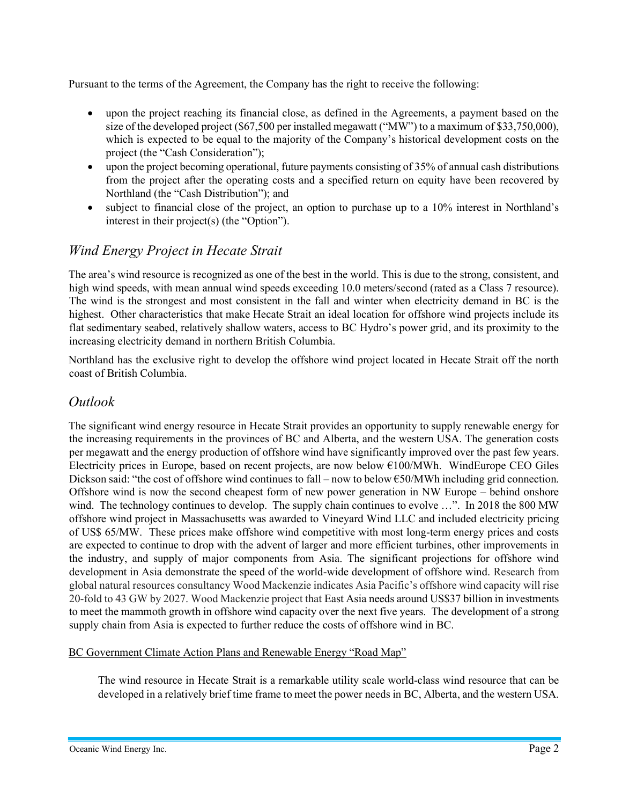Pursuant to the terms of the Agreement, the Company has the right to receive the following:

- upon the project reaching its financial close, as defined in the Agreements, a payment based on the size of the developed project (\$67,500 per installed megawatt ("MW") to a maximum of \$33,750,000), which is expected to be equal to the majority of the Company's historical development costs on the project (the "Cash Consideration");
- upon the project becoming operational, future payments consisting of 35% of annual cash distributions from the project after the operating costs and a specified return on equity have been recovered by Northland (the "Cash Distribution"); and
- subject to financial close of the project, an option to purchase up to a 10% interest in Northland's interest in their project(s) (the "Option").

# Wind Energy Project in Hecate Strait

The area's wind resource is recognized as one of the best in the world. This is due to the strong, consistent, and high wind speeds, with mean annual wind speeds exceeding 10.0 meters/second (rated as a Class 7 resource). The wind is the strongest and most consistent in the fall and winter when electricity demand in BC is the highest. Other characteristics that make Hecate Strait an ideal location for offshore wind projects include its flat sedimentary seabed, relatively shallow waters, access to BC Hydro's power grid, and its proximity to the increasing electricity demand in northern British Columbia.

Northland has the exclusive right to develop the offshore wind project located in Hecate Strait off the north coast of British Columbia.

### Outlook

The significant wind energy resource in Hecate Strait provides an opportunity to supply renewable energy for the increasing requirements in the provinces of BC and Alberta, and the western USA. The generation costs per megawatt and the energy production of offshore wind have significantly improved over the past few years. Electricity prices in Europe, based on recent projects, are now below €100/MWh. WindEurope CEO Giles Dickson said: "the cost of offshore wind continues to fall – now to below €50/MWh including grid connection. Offshore wind is now the second cheapest form of new power generation in NW Europe – behind onshore wind. The technology continues to develop. The supply chain continues to evolve ...". In 2018 the 800 MW offshore wind project in Massachusetts was awarded to Vineyard Wind LLC and included electricity pricing of US\$ 65/MW. These prices make offshore wind competitive with most long-term energy prices and costs are expected to continue to drop with the advent of larger and more efficient turbines, other improvements in the industry, and supply of major components from Asia. The significant projections for offshore wind development in Asia demonstrate the speed of the world-wide development of offshore wind. Research from global natural resources consultancy Wood Mackenzie indicates Asia Pacific's offshore wind capacity will rise 20-fold to 43 GW by 2027. Wood Mackenzie project that East Asia needs around US\$37 billion in investments to meet the mammoth growth in offshore wind capacity over the next five years. The development of a strong supply chain from Asia is expected to further reduce the costs of offshore wind in BC.

BC Government Climate Action Plans and Renewable Energy "Road Map"

The wind resource in Hecate Strait is a remarkable utility scale world-class wind resource that can be developed in a relatively brief time frame to meet the power needs in BC, Alberta, and the western USA.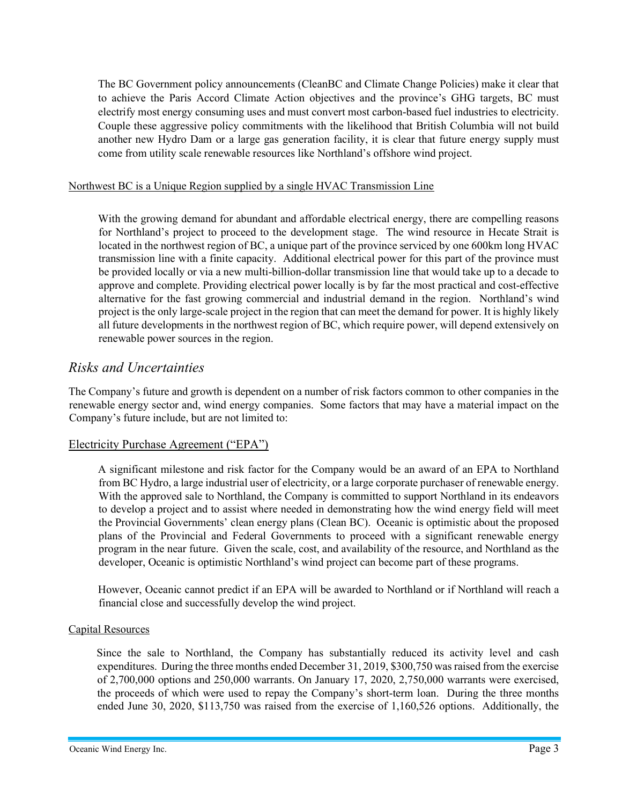The BC Government policy announcements (CleanBC and Climate Change Policies) make it clear that to achieve the Paris Accord Climate Action objectives and the province's GHG targets, BC must electrify most energy consuming uses and must convert most carbon-based fuel industries to electricity. Couple these aggressive policy commitments with the likelihood that British Columbia will not build another new Hydro Dam or a large gas generation facility, it is clear that future energy supply must come from utility scale renewable resources like Northland's offshore wind project.

#### Northwest BC is a Unique Region supplied by a single HVAC Transmission Line

With the growing demand for abundant and affordable electrical energy, there are compelling reasons for Northland's project to proceed to the development stage. The wind resource in Hecate Strait is located in the northwest region of BC, a unique part of the province serviced by one 600km long HVAC transmission line with a finite capacity. Additional electrical power for this part of the province must be provided locally or via a new multi-billion-dollar transmission line that would take up to a decade to approve and complete. Providing electrical power locally is by far the most practical and cost-effective alternative for the fast growing commercial and industrial demand in the region. Northland's wind project is the only large-scale project in the region that can meet the demand for power. It is highly likely all future developments in the northwest region of BC, which require power, will depend extensively on renewable power sources in the region.

#### Risks and Uncertainties

The Company's future and growth is dependent on a number of risk factors common to other companies in the renewable energy sector and, wind energy companies. Some factors that may have a material impact on the Company's future include, but are not limited to:

#### Electricity Purchase Agreement ("EPA")

A significant milestone and risk factor for the Company would be an award of an EPA to Northland from BC Hydro, a large industrial user of electricity, or a large corporate purchaser of renewable energy. With the approved sale to Northland, the Company is committed to support Northland in its endeavors to develop a project and to assist where needed in demonstrating how the wind energy field will meet the Provincial Governments' clean energy plans (Clean BC). Oceanic is optimistic about the proposed plans of the Provincial and Federal Governments to proceed with a significant renewable energy program in the near future. Given the scale, cost, and availability of the resource, and Northland as the developer, Oceanic is optimistic Northland's wind project can become part of these programs.

However, Oceanic cannot predict if an EPA will be awarded to Northland or if Northland will reach a financial close and successfully develop the wind project.

#### Capital Resources

Since the sale to Northland, the Company has substantially reduced its activity level and cash expenditures. During the three months ended December 31, 2019, \$300,750 was raised from the exercise of 2,700,000 options and 250,000 warrants. On January 17, 2020, 2,750,000 warrants were exercised, the proceeds of which were used to repay the Company's short-term loan. During the three months ended June 30, 2020, \$113,750 was raised from the exercise of 1,160,526 options. Additionally, the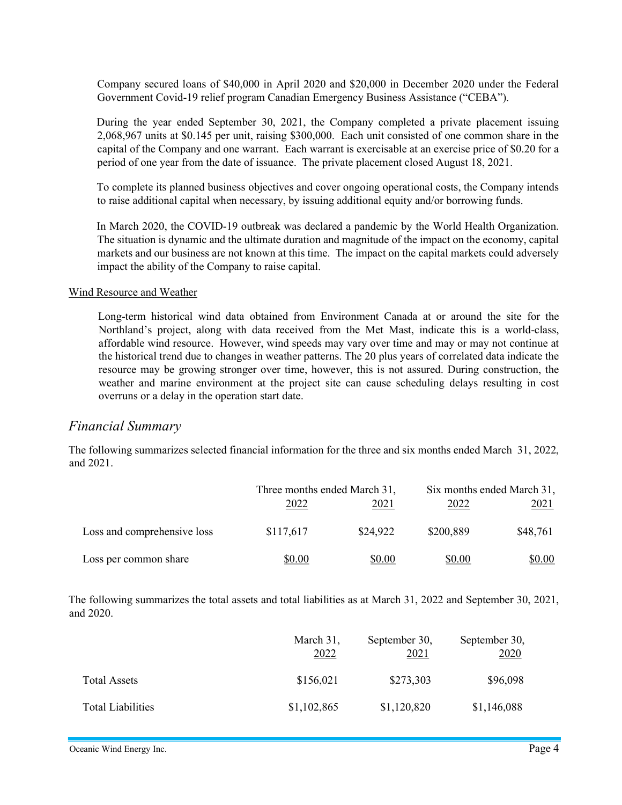Company secured loans of \$40,000 in April 2020 and \$20,000 in December 2020 under the Federal Government Covid-19 relief program Canadian Emergency Business Assistance ("CEBA").

During the year ended September 30, 2021, the Company completed a private placement issuing 2,068,967 units at \$0.145 per unit, raising \$300,000. Each unit consisted of one common share in the capital of the Company and one warrant. Each warrant is exercisable at an exercise price of \$0.20 for a period of one year from the date of issuance. The private placement closed August 18, 2021.

To complete its planned business objectives and cover ongoing operational costs, the Company intends to raise additional capital when necessary, by issuing additional equity and/or borrowing funds.

In March 2020, the COVID-19 outbreak was declared a pandemic by the World Health Organization. The situation is dynamic and the ultimate duration and magnitude of the impact on the economy, capital markets and our business are not known at this time. The impact on the capital markets could adversely impact the ability of the Company to raise capital.

#### Wind Resource and Weather

Long-term historical wind data obtained from Environment Canada at or around the site for the Northland's project, along with data received from the Met Mast, indicate this is a world-class, affordable wind resource. However, wind speeds may vary over time and may or may not continue at the historical trend due to changes in weather patterns. The 20 plus years of correlated data indicate the resource may be growing stronger over time, however, this is not assured. During construction, the weather and marine environment at the project site can cause scheduling delays resulting in cost overruns or a delay in the operation start date.

#### Financial Summary

The following summarizes selected financial information for the three and six months ended March 31, 2022, and 2021.

|                             | Three months ended March 31, |               | Six months ended March 31, |             |
|-----------------------------|------------------------------|---------------|----------------------------|-------------|
|                             | 2022                         | <u> 2021 </u> | 2022                       | <u>2021</u> |
| Loss and comprehensive loss | \$117,617                    | \$24,922      | \$200,889                  | \$48,761    |
| Loss per common share       | \$0.00                       | \$0.00        | \$0.00                     | \$0.00      |

The following summarizes the total assets and total liabilities as at March 31, 2022 and September 30, 2021, and 2020.

|                          | March 31,<br>2022 | September 30,<br>2021 | September 30,<br>2020 |
|--------------------------|-------------------|-----------------------|-----------------------|
| Total Assets             | \$156,021         | \$273,303             | \$96,098              |
| <b>Total Liabilities</b> | \$1,102,865       | \$1,120,820           | \$1,146,088           |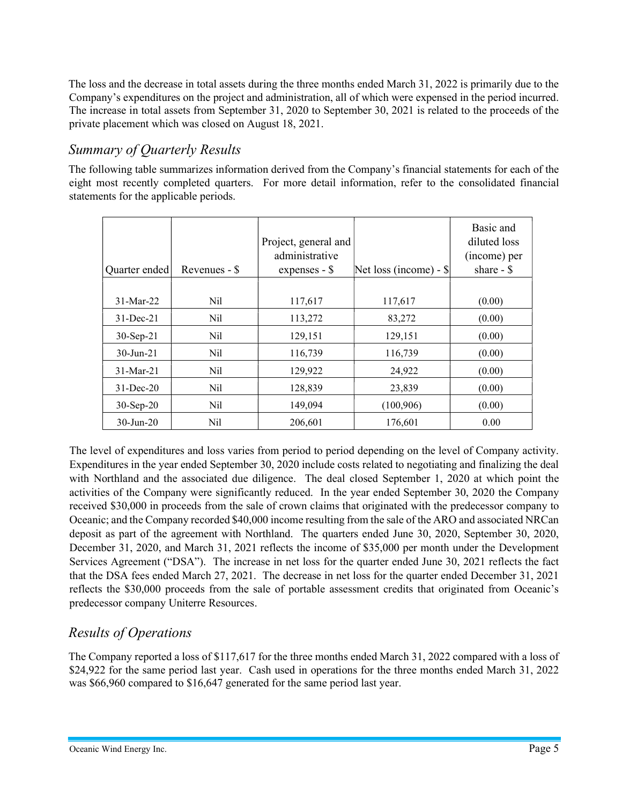The loss and the decrease in total assets during the three months ended March 31, 2022 is primarily due to the Company's expenditures on the project and administration, all of which were expensed in the period incurred. The increase in total assets from September 31, 2020 to September 30, 2021 is related to the proceeds of the private placement which was closed on August 18, 2021.

# Summary of Quarterly Results

The following table summarizes information derived from the Company's financial statements for each of the eight most recently completed quarters. For more detail information, refer to the consolidated financial statements for the applicable periods.

| Quarter ended   | Revenues - \$ | Project, general and<br>administrative<br>expenses $-$ \$ | Net loss (income) - $\$ | Basic and<br>diluted loss<br>(income) per<br>share $-$ \$ |
|-----------------|---------------|-----------------------------------------------------------|-------------------------|-----------------------------------------------------------|
|                 |               |                                                           |                         |                                                           |
| $31-Mar-22$     | Nil           | 117,617                                                   | 117,617                 | (0.00)                                                    |
| $31$ -Dec-21    | Nil           | 113,272                                                   | 83,272                  | (0.00)                                                    |
| $30-Sep-21$     | Nil           | 129,151                                                   | 129,151                 | (0.00)                                                    |
| $30 - Jun - 21$ | Nil           | 116,739                                                   | 116,739                 | (0.00)                                                    |
| $31-Mar-21$     | Nil           | 129,922                                                   | 24,922                  | (0.00)                                                    |
| $31$ -Dec-20    | Nil           | 128,839                                                   | 23,839                  | (0.00)                                                    |
| $30-Sep-20$     | Nil           | 149,094                                                   | (100, 906)              | (0.00)                                                    |
| $30$ -Jun-20    | Nil           | 206,601                                                   | 176,601                 | 0.00                                                      |

The level of expenditures and loss varies from period to period depending on the level of Company activity. Expenditures in the year ended September 30, 2020 include costs related to negotiating and finalizing the deal with Northland and the associated due diligence. The deal closed September 1, 2020 at which point the activities of the Company were significantly reduced. In the year ended September 30, 2020 the Company received \$30,000 in proceeds from the sale of crown claims that originated with the predecessor company to Oceanic; and the Company recorded \$40,000 income resulting from the sale of the ARO and associated NRCan deposit as part of the agreement with Northland. The quarters ended June 30, 2020, September 30, 2020, December 31, 2020, and March 31, 2021 reflects the income of \$35,000 per month under the Development Services Agreement ("DSA"). The increase in net loss for the quarter ended June 30, 2021 reflects the fact that the DSA fees ended March 27, 2021. The decrease in net loss for the quarter ended December 31, 2021 reflects the \$30,000 proceeds from the sale of portable assessment credits that originated from Oceanic's predecessor company Uniterre Resources.

# Results of Operations

The Company reported a loss of \$117,617 for the three months ended March 31, 2022 compared with a loss of \$24,922 for the same period last year. Cash used in operations for the three months ended March 31, 2022 was \$66,960 compared to \$16,647 generated for the same period last year.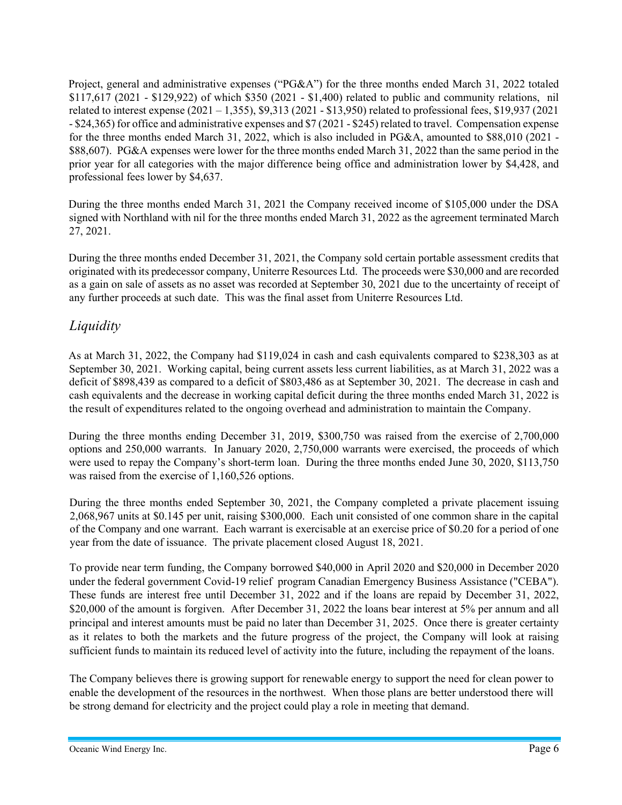Project, general and administrative expenses ("PG&A") for the three months ended March 31, 2022 totaled \$117,617 (2021 - \$129,922) of which \$350 (2021 - \$1,400) related to public and community relations, nil related to interest expense (2021 – 1,355), \$9,313 (2021 - \$13,950) related to professional fees, \$19,937 (2021 - \$24,365) for office and administrative expenses and \$7 (2021 - \$245) related to travel. Compensation expense for the three months ended March 31, 2022, which is also included in PG&A, amounted to \$88,010 (2021 - \$88,607). PG&A expenses were lower for the three months ended March 31, 2022 than the same period in the prior year for all categories with the major difference being office and administration lower by \$4,428, and professional fees lower by \$4,637.

During the three months ended March 31, 2021 the Company received income of \$105,000 under the DSA signed with Northland with nil for the three months ended March 31, 2022 as the agreement terminated March 27, 2021.

During the three months ended December 31, 2021, the Company sold certain portable assessment credits that originated with its predecessor company, Uniterre Resources Ltd. The proceeds were \$30,000 and are recorded as a gain on sale of assets as no asset was recorded at September 30, 2021 due to the uncertainty of receipt of any further proceeds at such date. This was the final asset from Uniterre Resources Ltd.

### *Liquidity*

As at March 31, 2022, the Company had \$119,024 in cash and cash equivalents compared to \$238,303 as at September 30, 2021. Working capital, being current assets less current liabilities, as at March 31, 2022 was a deficit of \$898,439 as compared to a deficit of \$803,486 as at September 30, 2021. The decrease in cash and cash equivalents and the decrease in working capital deficit during the three months ended March 31, 2022 is the result of expenditures related to the ongoing overhead and administration to maintain the Company.

During the three months ending December 31, 2019, \$300,750 was raised from the exercise of 2,700,000 options and 250,000 warrants. In January 2020, 2,750,000 warrants were exercised, the proceeds of which were used to repay the Company's short-term loan. During the three months ended June 30, 2020, \$113,750 was raised from the exercise of 1,160,526 options.

During the three months ended September 30, 2021, the Company completed a private placement issuing 2,068,967 units at \$0.145 per unit, raising \$300,000. Each unit consisted of one common share in the capital of the Company and one warrant. Each warrant is exercisable at an exercise price of \$0.20 for a period of one year from the date of issuance. The private placement closed August 18, 2021.

To provide near term funding, the Company borrowed \$40,000 in April 2020 and \$20,000 in December 2020 under the federal government Covid-19 relief program Canadian Emergency Business Assistance ("CEBA"). These funds are interest free until December 31, 2022 and if the loans are repaid by December 31, 2022, \$20,000 of the amount is forgiven. After December 31, 2022 the loans bear interest at 5% per annum and all principal and interest amounts must be paid no later than December 31, 2025. Once there is greater certainty as it relates to both the markets and the future progress of the project, the Company will look at raising sufficient funds to maintain its reduced level of activity into the future, including the repayment of the loans.

The Company believes there is growing support for renewable energy to support the need for clean power to enable the development of the resources in the northwest. When those plans are better understood there will be strong demand for electricity and the project could play a role in meeting that demand.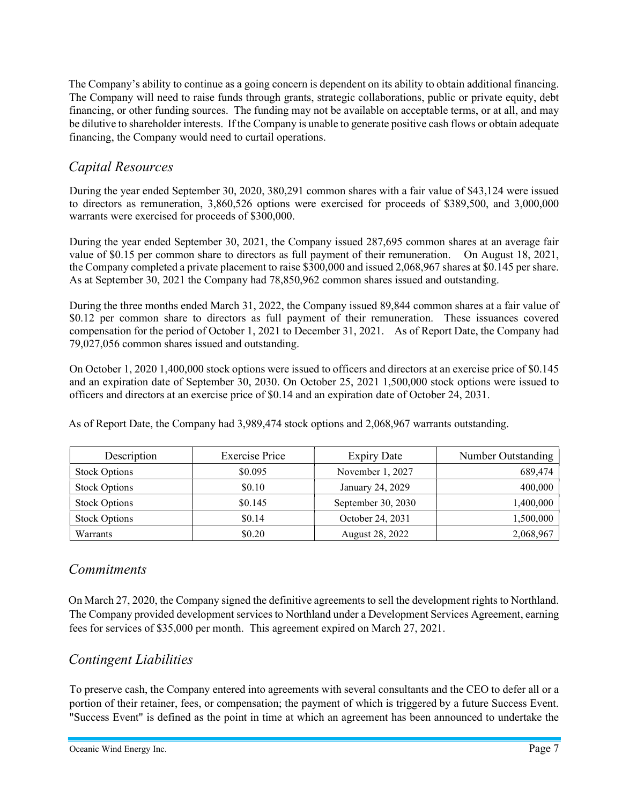The Company's ability to continue as a going concern is dependent on its ability to obtain additional financing. The Company will need to raise funds through grants, strategic collaborations, public or private equity, debt financing, or other funding sources. The funding may not be available on acceptable terms, or at all, and may be dilutive to shareholder interests. If the Company is unable to generate positive cash flows or obtain adequate financing, the Company would need to curtail operations.

### Capital Resources

During the year ended September 30, 2020, 380,291 common shares with a fair value of \$43,124 were issued to directors as remuneration, 3,860,526 options were exercised for proceeds of \$389,500, and 3,000,000 warrants were exercised for proceeds of \$300,000.

During the year ended September 30, 2021, the Company issued 287,695 common shares at an average fair value of \$0.15 per common share to directors as full payment of their remuneration. On August 18, 2021, the Company completed a private placement to raise \$300,000 and issued 2,068,967 shares at \$0.145 per share. As at September 30, 2021 the Company had 78,850,962 common shares issued and outstanding.

During the three months ended March 31, 2022, the Company issued 89,844 common shares at a fair value of \$0.12 per common share to directors as full payment of their remuneration. These issuances covered compensation for the period of October 1, 2021 to December 31, 2021. As of Report Date, the Company had 79,027,056 common shares issued and outstanding.

On October 1, 2020 1,400,000 stock options were issued to officers and directors at an exercise price of \$0.145 and an expiration date of September 30, 2030. On October 25, 2021 1,500,000 stock options were issued to officers and directors at an exercise price of \$0.14 and an expiration date of October 24, 2031.

As of Report Date, the Company had 3,989,474 stock options and 2,068,967 warrants outstanding.

| Description          | <b>Exercise Price</b> | <b>Expiry Date</b> | Number Outstanding |
|----------------------|-----------------------|--------------------|--------------------|
| <b>Stock Options</b> | \$0.095               | November 1, 2027   | 689,474            |
| <b>Stock Options</b> | \$0.10                | January 24, 2029   | 400,000            |
| <b>Stock Options</b> | \$0.145               | September 30, 2030 | 1,400,000          |
| <b>Stock Options</b> | \$0.14                | October 24, 2031   | 1,500,000          |
| Warrants             | \$0.20                | August 28, 2022    | 2,068,967          |

### **Commitments**

On March 27, 2020, the Company signed the definitive agreements to sell the development rights to Northland. The Company provided development services to Northland under a Development Services Agreement, earning fees for services of \$35,000 per month. This agreement expired on March 27, 2021.

# Contingent Liabilities

To preserve cash, the Company entered into agreements with several consultants and the CEO to defer all or a portion of their retainer, fees, or compensation; the payment of which is triggered by a future Success Event. "Success Event" is defined as the point in time at which an agreement has been announced to undertake the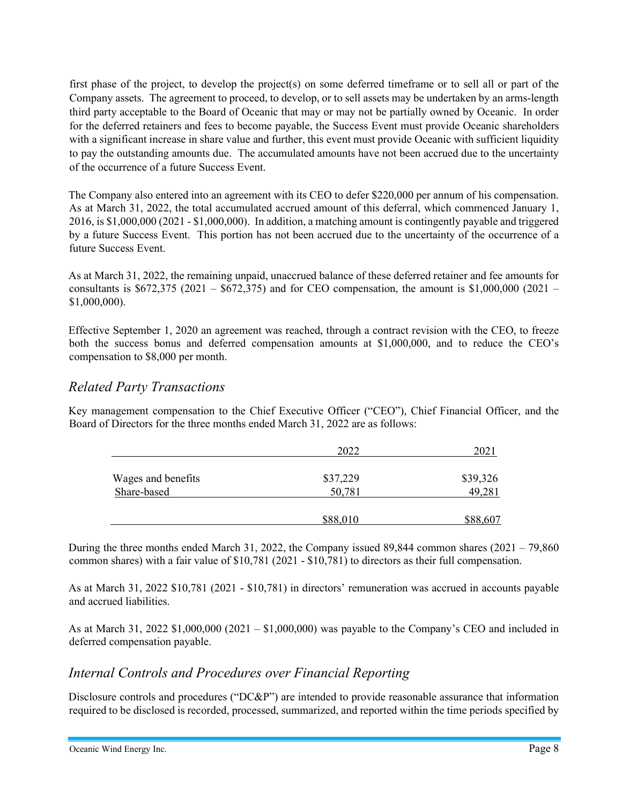first phase of the project, to develop the project(s) on some deferred timeframe or to sell all or part of the Company assets. The agreement to proceed, to develop, or to sell assets may be undertaken by an arms-length third party acceptable to the Board of Oceanic that may or may not be partially owned by Oceanic. In order for the deferred retainers and fees to become payable, the Success Event must provide Oceanic shareholders with a significant increase in share value and further, this event must provide Oceanic with sufficient liquidity to pay the outstanding amounts due. The accumulated amounts have not been accrued due to the uncertainty of the occurrence of a future Success Event.

The Company also entered into an agreement with its CEO to defer \$220,000 per annum of his compensation. As at March 31, 2022, the total accumulated accrued amount of this deferral, which commenced January 1, 2016, is \$1,000,000 (2021 - \$1,000,000). In addition, a matching amount is contingently payable and triggered by a future Success Event. This portion has not been accrued due to the uncertainty of the occurrence of a future Success Event.

As at March 31, 2022, the remaining unpaid, unaccrued balance of these deferred retainer and fee amounts for consultants is  $$672,375$  (2021 –  $$672,375$ ) and for CEO compensation, the amount is \$1,000,000 (2021 – \$1,000,000).

Effective September 1, 2020 an agreement was reached, through a contract revision with the CEO, to freeze both the success bonus and deferred compensation amounts at \$1,000,000, and to reduce the CEO's compensation to \$8,000 per month.

#### Related Party Transactions

Key management compensation to the Chief Executive Officer ("CEO"), Chief Financial Officer, and the Board of Directors for the three months ended March 31, 2022 are as follows:

|                    | 2022     |          |
|--------------------|----------|----------|
| Wages and benefits | \$37,229 | \$39,326 |
| Share-based        | 50,781   | 49,281   |
|                    | \$88,010 | \$88,607 |

During the three months ended March 31, 2022, the Company issued 89,844 common shares (2021 – 79,860 common shares) with a fair value of \$10,781 (2021 - \$10,781) to directors as their full compensation.

As at March 31, 2022 \$10,781 (2021 - \$10,781) in directors' remuneration was accrued in accounts payable and accrued liabilities.

As at March 31, 2022 \$1,000,000 (2021 – \$1,000,000) was payable to the Company's CEO and included in deferred compensation payable.

#### Internal Controls and Procedures over Financial Reporting

Disclosure controls and procedures ("DC&P") are intended to provide reasonable assurance that information required to be disclosed is recorded, processed, summarized, and reported within the time periods specified by